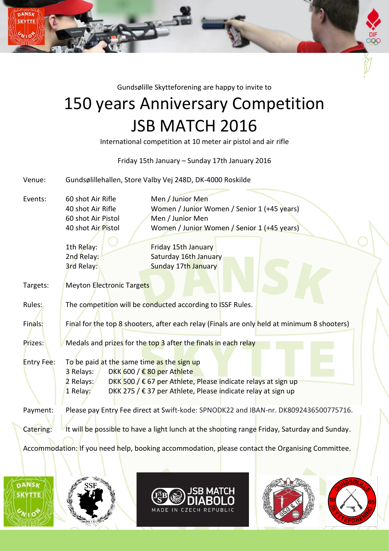Gundsølille Skytteforening are happy to invite to

## 150 years Anniversary Competition JSB MATCH 2016

International competition at 10 meter air pistol and air rifle

## Friday 15th January – Sunday 17th January 2016

Venue: Gundsølillehallen, Store Valby Vej 248D, DK-4000 Roskilde

Events: 60 shot Air Rifle Men / Junior Men 60 shot Air Pistol Men / Junior Men

DANSK

40 shot Air Rifle Women / Junior Women / Senior 1 (+45 years) 40 shot Air Pistol Women / Junior Women / Senior 1 (+45 years)

1th Relay: Friday 15th January 2nd Relay: Saturday 16th January **3rd Relay:** Sunday 17th January

Targets: Meyton Electronic Targets

Rules: The competition will be conducted according to ISSF Rules.

Finals: Final for the top 8 shooters, after each relay (Finals are only held at minimum 8 shooters)

Prizes: Medals and prizes for the top 3 after the finals in each relay

Entry Fee: To be paid at the same time as the sign up 3 Relays: DKK 600 / € 80 per Athlete 2 Relays: DKK 500 /  $\epsilon$  67 per Athlete, Please indicate relays at sign up 1 Relay: DKK 275 / € 37 per Athlete, Please indicate relay at sign up

Payment: Please pay Entry Fee direct at Swift-kode: SPNODK22 and IBAN-nr. DK8092436500775716.

Catering: It will be possible to have a light lunch at the shooting range Friday, Saturday and Sunday.

Accommodation: If you need help, booking accommodation, please contact the Organising Committee.